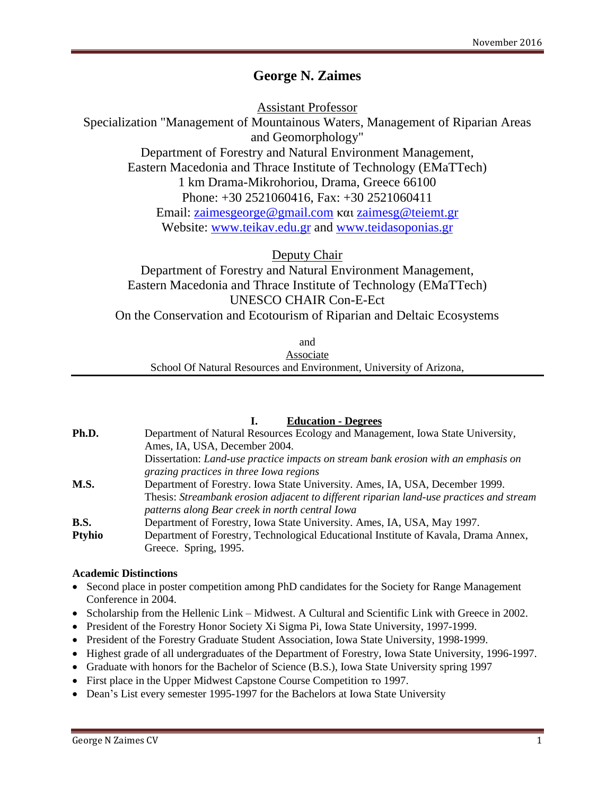# **George N. Zaimes**

Assistant Professor

Specialization "Management of Mountainous Waters, Management of Riparian Areas

and Geomorphology"

Department of Forestry and Natural Environment Management, Eastern Macedonia and Thrace Institute of Technology (EMaTTech)

1 km Drama-Mikrohoriou, Drama, Greece 66100

Phone: +30 2521060416, Fax: +30 2521060411

Email: [zaimesgeorge@gmail.com](mailto:zaimesgeorge@gmail.com) και [zaimesg@teiemt.gr](mailto:zaimesg@teiemt.gr)

Website: [www.teikav.edu.gr](http://www.teikav.edu.gr/) and [www.teidasoponias.gr](http://www.teidasoponias.gr/)

Deputy Chair

Department of Forestry and Natural Environment Management, Eastern Macedonia and Thrace Institute of Technology (EMaTTech) UNESCO CHAIR Con-E-Ect On the Conservation and Ecotourism of Riparian and Deltaic Ecosystems

and

Associate School Of Natural Resources and Environment, University of Arizona,

# **I. Education - Degrees**

| Ph.D.         | Department of Natural Resources Ecology and Management, Iowa State University,<br>Ames, IA, USA, December 2004. |
|---------------|-----------------------------------------------------------------------------------------------------------------|
|               | Dissertation: Land-use practice impacts on stream bank erosion with an emphasis on                              |
|               | grazing practices in three Iowa regions                                                                         |
| M.S.          | Department of Forestry. Iowa State University. Ames, IA, USA, December 1999.                                    |
|               | Thesis: Streambank erosion adjacent to different riparian land-use practices and stream                         |
|               | patterns along Bear creek in north central Iowa                                                                 |
| <b>B.S.</b>   | Department of Forestry, Iowa State University. Ames, IA, USA, May 1997.                                         |
| <b>Ptyhio</b> | Department of Forestry, Technological Educational Institute of Kavala, Drama Annex,                             |
|               | Greece. Spring, 1995.                                                                                           |

### **Academic Distinctions**

- Second place in poster competition among PhD candidates for the Society for Range Management Conference in 2004.
- Scholarship from the Hellenic Link Midwest. A Cultural and Scientific Link with Greece in 2002.
- President of the Forestry Honor Society Xi Sigma Pi, Iowa State University, 1997-1999.
- President of the Forestry Graduate Student Association, Iowa State University, 1998-1999.
- Highest grade of all undergraduates of the Department of Forestry, Iowa State University, 1996-1997.
- Graduate with honors for the Bachelor of Science (B.S.), Iowa State University spring 1997
- First place in the Upper Midwest Capstone Course Competition το 1997.
- Dean's List every semester 1995-1997 for the Bachelors at Iowa State University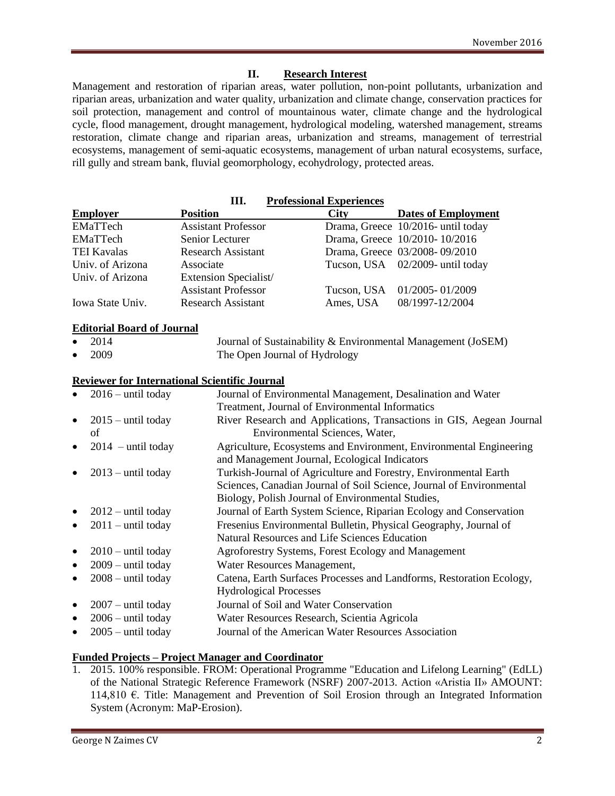### **II. Research Interest**

Management and restoration of riparian areas, water pollution, non-point pollutants, urbanization and riparian areas, urbanization and water quality, urbanization and climate change, conservation practices for soil protection, management and control of mountainous water, climate change and the hydrological cycle, flood management, drought management, hydrological modeling, watershed management, streams restoration, climate change and riparian areas, urbanization and streams, management of terrestrial ecosystems, management of semi-aquatic ecosystems, management of urban natural ecosystems, surface, rill gully and stream bank, fluvial geomorphology, ecohydrology, protected areas.

**III. Professional Experiences**

| <b>Employer</b>                   | <b>Position</b>                                      | <b>City</b>                    | <b>Dates of Employment</b>                                           |
|-----------------------------------|------------------------------------------------------|--------------------------------|----------------------------------------------------------------------|
| <b>EMaTTech</b>                   | <b>Assistant Professor</b>                           |                                | Drama, Greece 10/2016- until today                                   |
| EMaTTech                          | Senior Lecturer                                      |                                | Drama, Greece 10/2010-10/2016                                        |
| <b>TEI Kavalas</b>                | <b>Research Assistant</b>                            |                                | Drama, Greece 03/2008-09/2010                                        |
| Univ. of Arizona                  | Associate                                            | Tucson, USA                    | 02/2009- until today                                                 |
| Univ. of Arizona                  | Extension Specialist/                                |                                |                                                                      |
|                                   | <b>Assistant Professor</b>                           | Tucson, USA                    | 01/2005-01/2009                                                      |
| Iowa State Univ.                  | <b>Research Assistant</b>                            | Ames, USA                      | 08/1997-12/2004                                                      |
| <b>Editorial Board of Journal</b> |                                                      |                                |                                                                      |
| 2014                              |                                                      |                                | Journal of Sustainability & Environmental Management (JoSEM)         |
| 2009                              | The Open Journal of Hydrology                        |                                |                                                                      |
|                                   | <b>Reviewer for International Scientific Journal</b> |                                |                                                                      |
| $2016 -$ until today              |                                                      |                                | Journal of Environmental Management, Desalination and Water          |
|                                   | Treatment, Journal of Environmental Informatics      |                                |                                                                      |
| $2015$ – until today<br>$\bullet$ |                                                      |                                | River Research and Applications, Transactions in GIS, Aegean Journal |
| of                                |                                                      | Environmental Sciences, Water, |                                                                      |
| $2014$ – until today<br>$\bullet$ |                                                      |                                | Agriculture, Ecosystems and Environment, Environmental Engineering   |
|                                   | and Management Journal, Ecological Indicators        |                                |                                                                      |
| $2013$ – until today<br>$\bullet$ |                                                      |                                | Turkish-Journal of Agriculture and Forestry, Environmental Earth     |
|                                   |                                                      |                                | Sciences, Canadian Journal of Soil Science, Journal of Environmental |
|                                   | Biology, Polish Journal of Environmental Studies,    |                                |                                                                      |
| $2012$ – until today<br>$\bullet$ |                                                      |                                | Journal of Earth System Science, Riparian Ecology and Conservation   |
| $2011 -$ until today<br>$\bullet$ |                                                      |                                | Fresenius Environmental Bulletin, Physical Geography, Journal of     |
|                                   | Natural Resources and Life Sciences Education        |                                |                                                                      |
| $2010$ – until today<br>٠         | Agroforestry Systems, Forest Ecology and Management  |                                |                                                                      |
| $2009$ – until today<br>$\bullet$ | Water Resources Management,                          |                                |                                                                      |
| $2008 -$ until today<br>$\bullet$ |                                                      |                                | Catena, Earth Surfaces Processes and Landforms, Restoration Ecology, |
|                                   | <b>Hydrological Processes</b>                        |                                |                                                                      |
| $2007 -$ until today<br>٠         | Journal of Soil and Water Conservation               |                                |                                                                      |
| $2006 -$ until today<br>$\bullet$ | Water Resources Research, Scientia Agricola          |                                |                                                                      |
| $2005 -$ until today              | Journal of the American Water Resources Association  |                                |                                                                      |

### **Funded Projects – Project Manager and Coordinator**

1. 2015. 100% responsible. FROM: Operational Programme "Education and Lifelong Learning" (EdLL) of the National Strategic Reference Framework (NSRF) 2007-2013. Action «Aristia ΙΙ» AMOUNT: 114,810 €. Title: Management and Prevention of Soil Erosion through an Integrated Information System (Acronym: MaP-Erosion).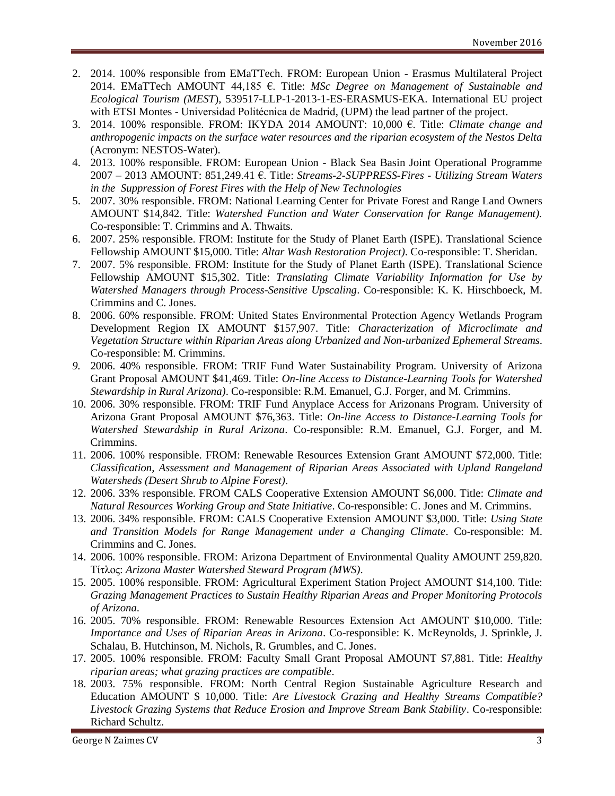- 2. 2014. 100% responsible from EMaTTech. FROM: European Union Erasmus Multilateral Project 2014. EMaTTech AMOUNT 44,185 €. Title: *MSc Degree on Management of Sustainable and Ecological Tourism (MEST*), 539517-LLP-1-2013-1-ES-ERASMUS-EKA. International EU project with ETSI Montes - Universidad Politécnica de Madrid, (UPM) the lead partner of the project.
- 3. 2014. 100% responsible. FROM: IKYDA 2014 AMOUNT: 10,000 €. Title: *Climate change and anthropogenic impacts on the surface water resources and the riparian ecosystem of the Nestos Delta* (Acronym: NESTOS-Water).
- 4. 2013. 100% responsible. FROM: European Union Black Sea Basin Joint Operational Programme 2007 – 2013 AMOUNT: 851,249.41 €. Title: *Streams-2-SUPPRESS-Fires - Utilizing Stream Waters in the Suppression of Forest Fires with the Help of New Technologies*
- 5. 2007. 30% responsible. FROM: National Learning Center for Private Forest and Range Land Owners AMOUNT \$14,842. Title: *Watershed Function and Water Conservation for Range Management).* Co-responsible: T. Crimmins and A. Thwaits.
- 6. 2007. 25% responsible. FROM: Institute for the Study of Planet Earth (ISPE). Translational Science Fellowship AMOUNT \$15,000. Title: *Altar Wash Restoration Project)*. Co-responsible: T. Sheridan.
- 7. 2007. 5% responsible. FROM: Institute for the Study of Planet Earth (ISPE). Translational Science Fellowship AMOUNT \$15,302. Title: *Translating Climate Variability Information for Use by Watershed Managers through Process-Sensitive Upscaling*. Co-responsible: K. K. Hirschboeck, M. Crimmins and C. Jones.
- 8. 2006. 60% responsible. FROM: United States Environmental Protection Agency Wetlands Program Development Region IX AMOUNT \$157,907. Title: *Characterization of Microclimate and Vegetation Structure within Riparian Areas along Urbanized and Non-urbanized Ephemeral Streams*. Co-responsible: M. Crimmins.
- *9.* 2006. 40% responsible. FROM: TRIF Fund Water Sustainability Program. University of Arizona Grant Proposal AMOUNT \$41,469. Title: *On-line Access to Distance-Learning Tools for Watershed Stewardship in Rural Arizona)*. Co-responsible: R.M. Emanuel, G.J. Forger, and M. Crimmins.
- 10. 2006. 30% responsible. FROM: TRIF Fund Anyplace Access for Arizonans Program. University of Arizona Grant Proposal AMOUNT \$76,363. Title: *On-line Access to Distance-Learning Tools for Watershed Stewardship in Rural Arizona*. Co-responsible: R.M. Emanuel, G.J. Forger, and M. Crimmins.
- 11. 2006. 100% responsible. FROM: Renewable Resources Extension Grant AMOUNT \$72,000. Title: *Classification, Assessment and Management of Riparian Areas Associated with Upland Rangeland Watersheds (Desert Shrub to Alpine Forest)*.
- 12. 2006. 33% responsible. FROM CALS Cooperative Extension AMOUNT \$6,000. Title: *Climate and Natural Resources Working Group and State Initiative*. Co-responsible: C. Jones and M. Crimmins.
- 13. 2006. 34% responsible. FROM: CALS Cooperative Extension AMOUNT \$3,000. Title: *Using State and Transition Models for Range Management under a Changing Climate*. Co-responsible: M. Crimmins and C. Jones.
- 14. 2006. 100% responsible. FROM: Arizona Department of Environmental Quality AMOUNT 259,820. Τίτλος: *Arizona Master Watershed Steward Program (MWS)*.
- 15. 2005. 100% responsible. FROM: Agricultural Experiment Station Project AMOUNT \$14,100. Title: *Grazing Management Practices to Sustain Healthy Riparian Areas and Proper Monitoring Protocols of Arizona*.
- 16. 2005. 70% responsible. FROM: Renewable Resources Extension Act AMOUNT \$10,000. Title: *Importance and Uses of Riparian Areas in Arizona*. Co-responsible: K. McReynolds, J. Sprinkle, J. Schalau, B. Hutchinson, M. Nichols, R. Grumbles, and C. Jones.
- 17. 2005. 100% responsible. FROM: Faculty Small Grant Proposal AMOUNT \$7,881. Title: *Healthy riparian areas; what grazing practices are compatible*.
- 18. 2003. 75% responsible. FROM: North Central Region Sustainable Agriculture Research and Education AMOUNT \$ 10,000. Title: *Are Livestock Grazing and Healthy Streams Compatible? Livestock Grazing Systems that Reduce Erosion and Improve Stream Bank Stability*. Co-responsible: Richard Schultz.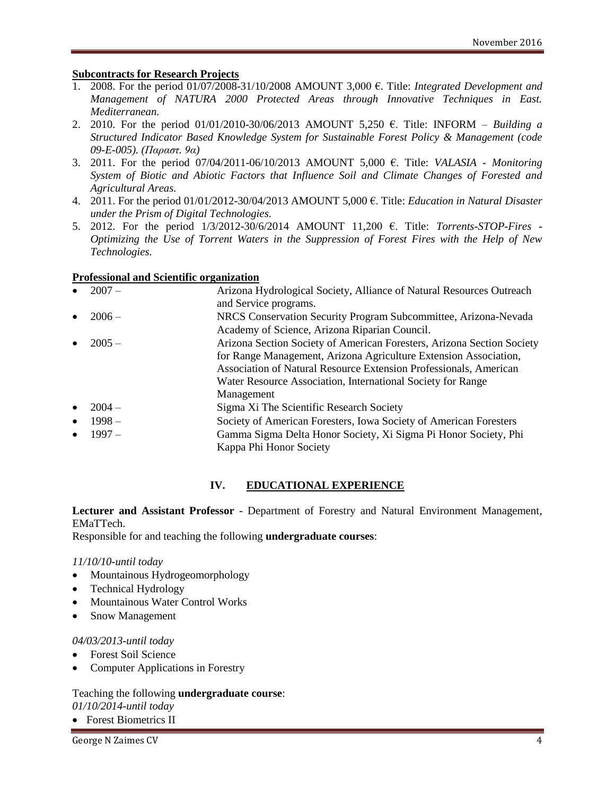#### **Subcontracts for Research Projects**

- 1. 2008. For the period 01/07/2008-31/10/2008 AMOUNT 3,000 €. Title: *Integrated Development and Management of NATURA 2000 Protected Areas through Innovative Techniques in East. Mediterranean.*
- 2. 2010. For the period  $01/01/2010-30/06/2013$  AMOUNT 5,250  $\epsilon$ . Title: INFORM *Building a Structured Indicator Based Knowledge System for Sustainable Forest Policy & Management (code 09-E-005). (Παραστ. 9α)*
- 3. 2011. For the period 07/04/2011-06/10/2013 AMOUNT 5,000 €. Title: *VALASIA - Monitoring System of Biotic and Abiotic Factors that Influence Soil and Climate Changes of Forested and Agricultural Areas.*
- 4. 2011. For the period 01/01/2012-30/04/2013 AMOUNT 5,000 €. Title: *Education in Natural Disaster under the Prism of Digital Technologies.*
- 5. 2012. For the period 1/3/2012-30/6/2014 AMOUNT 11,200 €. Title: *Torrents-STOP-Fires - Optimizing the Use of Torrent Waters in the Suppression of Forest Fires with the Help of New Technologies.*

#### **Professional and Scientific organization**

| $\bullet$ | $2007 -$ | Arizona Hydrological Society, Alliance of Natural Resources Outreach   |
|-----------|----------|------------------------------------------------------------------------|
|           |          | and Service programs.                                                  |
| $\bullet$ | $2006 -$ | NRCS Conservation Security Program Subcommittee, Arizona-Nevada        |
|           |          | Academy of Science, Arizona Riparian Council.                          |
|           | $2005 -$ | Arizona Section Society of American Foresters, Arizona Section Society |
|           |          | for Range Management, Arizona Agriculture Extension Association,       |
|           |          | Association of Natural Resource Extension Professionals, American      |
|           |          | Water Resource Association, International Society for Range            |
|           |          | Management                                                             |
| $\bullet$ | $2004-$  | Sigma Xi The Scientific Research Society                               |
| $\bullet$ | $1998 -$ | Society of American Foresters, Iowa Society of American Foresters      |
| $\bullet$ | $1997 -$ | Gamma Sigma Delta Honor Society, Xi Sigma Pi Honor Society, Phi        |
|           |          | Kappa Phi Honor Society                                                |
|           |          |                                                                        |

### **IV. EDUCATIONAL EXPERIENCE**

**Lecturer and Assistant Professor** - Department of Forestry and Natural Environment Management, EMaTTech.

Responsible for and teaching the following **undergraduate courses**:

#### *11/10/10-until today*

- Mountainous Hydrogeomorphology
- Technical Hydrology
- Mountainous Water Control Works
- Snow Management

#### *04/03/2013-until today*

- Forest Soil Science
- Computer Applications in Forestry

#### Teaching the following **undergraduate course**: *01/10/2014-until today*

Forest Biometrics II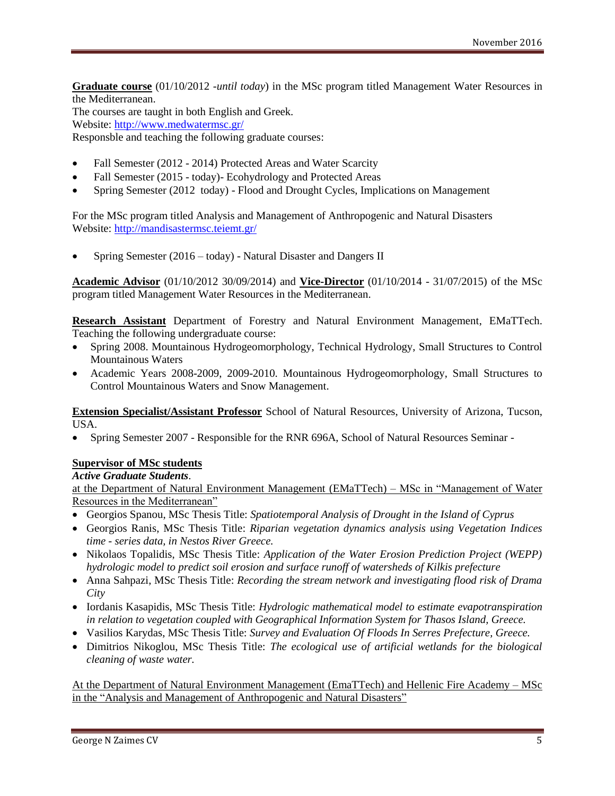**Graduate course** (01/10/2012 *-until today*) in the MSc program titled Management Water Resources in the Mediterranean.

The courses are taught in both English and Greek. Website:<http://www.medwatermsc.gr/> Responsble and teaching the following graduate courses:

- Fall Semester (2012 2014) Protected Areas and Water Scarcity
- Fall Semester (2015 today) Ecohydrology and Protected Areas
- Spring Semester (2012 today) Flood and Drought Cycles, Implications on Management

For the MSc program titled Analysis and Management of Anthropogenic and Natural Disasters Website: [http://mandisastermsc.teiemt.gr/](http://www.medwatermsc.gr/)

Spring Semester (2016 – today) - Natural Disaster and Dangers II

**Academic Advisor** (01/10/2012 30/09/2014) and **Vice-Director** (01/10/2014 - 31/07/2015) of the MSc program titled Management Water Resources in the Mediterranean.

**Research Assistant** Department of Forestry and Natural Environment Management, EMaTTech. Teaching the following undergraduate course:

- Spring 2008. Mountainous Hydrogeomorphology, Technical Hydrology, Small Structures to Control Mountainous Waters
- Academic Years 2008-2009, 2009-2010. Mountainous Hydrogeomorphology, Small Structures to Control Mountainous Waters and Snow Management.

**Extension Specialist/Assistant Professor** School of Natural Resources, University of Arizona, Tucson, USA.

• Spring Semester 2007 - Responsible for the RNR 696A, School of Natural Resources Seminar -

#### **Supervisor of MSc students**

*Active Graduate Students*.

at the Department of Natural Environment Management (EMaTTech) – MSc in "Management of Water Resources in the Mediterranean"

- Georgios Spanou, MSc Thesis Title: *Spatiotemporal Analysis of Drought in the Island of Cyprus*
- Georgios Ranis, MSc Thesis Title: *Riparian vegetation dynamics analysis using Vegetation Indices time - series data, in Nestos River Greece.*
- Nikolaos Topalidis, MSc Thesis Title: *Application of the Water Erosion Prediction Project (WEPP) hydrologic model to predict soil erosion and surface runoff of watersheds of Kilkis prefecture*
- Anna Sahpazi, MSc Thesis Title: *Recording the stream network and investigating flood risk of Drama City*
- Iordanis Kasapidis, MSc Thesis Title: *Hydrologic mathematical model to estimate evapotranspiration in relation to vegetation coupled with Geographical Information System for Thasos Island, Greece.*
- Vasilios Karydas, MSc Thesis Title: *Survey and Evaluation Of Floods In Serres Prefecture, Greece.*
- Dimitrios Nikoglou, MSc Thesis Title: *The ecological use of artificial wetlands for the biological cleaning of waste water.*

At the Department of Natural Environment Management (EmaTTech) and Hellenic Fire Academy – MSc in the "Analysis and Management of Anthropogenic and Natural Disasters"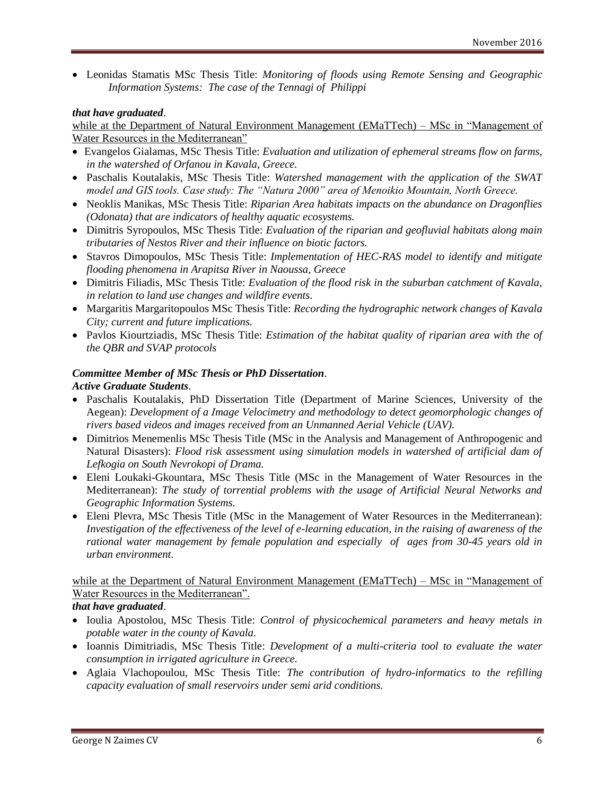Leonidas Stamatis MSc Thesis Title: *Monitoring of floods using Remote Sensing and Geographic Information Systems: The case of the Tennagi of Philippi*

#### *that have graduated*.

while at the Department of Natural Environment Management (EMaTTech) – MSc in "Management of Water Resources in the Mediterranean"

- Evangelos Gialamas, MSc Thesis Title: *Evaluation and utilization of ephemeral streams flow on farms, in the watershed of Orfanou in Kavala, Greece.*
- Paschalis Koutalakis, MSc Thesis Title: *Watershed management with the application of the SWAT model and GIS tools. Case study: The "Natura 2000" area of Menoikio Mountain, North Greece.*
- Neoklis Manikas, MSc Thesis Title: *Riparian Area habitats impacts on the abundance on Dragonflies (Odonata) that are indicators of healthy aquatic ecosystems.*
- Dimitris Syropoulos, MSc Thesis Title: *Evaluation of the riparian and geofluvial habitats along main tributaries of Nestos River and their influence on biotic factors.*
- Stavros Dimopoulos, MSc Thesis Title: *Implementation of HEC-RAS model to identify and mitigate flooding phenomena in Arapitsa River in Naoussa, Greece*
- Dimitris Filiadis, MSc Thesis Title: *Evaluation of the flood risk in the suburban catchment of Kavala, in relation to land use changes and wildfire events.*
- Margaritis Margaritopoulos MSc Thesis Title: *Recording the hydrographic network changes of Kavala City; current and future implications.*
- Pavlos Kiourtziadis, MSc Thesis Title: *Estimation of the habitat quality of riparian area with the of the QBR and SVAP protocols*

#### *Committee Member of MSc Thesis or PhD Dissertation*. *Active Graduate Students*.

- Paschalis Koutalakis, PhD Dissertation Title (Department of Marine Sciences, University of the Aegean): *Development of a Ιmage Velocimetry and methodology to detect geomorphologic changes of rivers based videos and images received from an Unmanned Aerial Vehicle (UAV).*
- Dimitrios Menemenlis MSc Thesis Title (MSc in the Analysis and Management of Anthropogenic and Natural Disasters): *Flood risk assessment using simulation models in watershed of artificial dam of Lefkogia on South Nevrokopi of Drama.*
- Eleni Loukaki-Gkountara, MSc Thesis Title (MSc in the Management of Water Resources in the Mediterranean): *The study of torrential problems with the usage of Artificial Neural Networks and Geographic Information Systems.*
- Eleni Plevra, MSc Thesis Title (MSc in the Management of Water Resources in the Mediterranean): *Investigation of the effectiveness of the level of e-learning education, in the raising of awareness of the rational water management by female population and especially of ages from 30-45 years old in urban environment.*

# while at the Department of Natural Environment Management (EMaTTech) – MSc in "Management of Water Resources in the Mediterranean".

### *that have graduated*.

- Ioulia Apostolou, MSc Thesis Title: *Control of physicochemical parameters and heavy metals in potable water in the county of Kavala.*
- Ioannis Dimitriadis, MSc Thesis Title: *Development of a multi-criteria tool to evaluate the water consumption in irrigated agriculture in Greece.*
- Aglaia Vlachopoulou, MSc Thesis Title: *The contribution of hydro-informatics to the refilling capacity evaluation of small reservoirs under semi arid conditions.*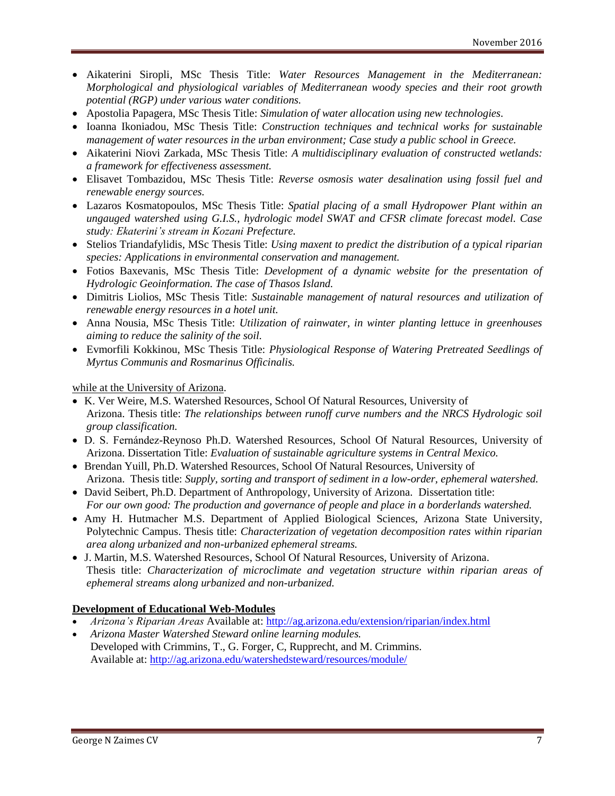- Aikaterini Siropli, MSc Thesis Title: *Water Resources Management in the Mediterranean: Morphological and physiological variables of Mediterranean woody species and their root growth potential (RGP) under various water conditions.*
- Apostolia Papagera, MSc Thesis Title: *Simulation of water allocation using new technologies.*
- Ioanna Ikoniadou, MSc Thesis Title: *Construction techniques and technical works for sustainable management of water resources in the urban environment; Case study a public school in Greece.*
- Aikaterini Niovi Zarkada, MSc Thesis Title: *A multidisciplinary evaluation of constructed wetlands: a framework for effectiveness assessment.*
- Elisavet Tombazidou, MSc Thesis Title: *Reverse osmosis water desalination using fossil fuel and renewable energy sources.*
- Lazaros Kosmatopoulos, MSc Thesis Title: *Spatial placing of a small Hydropower Plant within an ungauged watershed using G.I.S., hydrologic model SWAT and CFSR climate forecast model. Case study: Ekaterini's stream in Kozani Prefecture.*
- Stelios Triandafylidis, MSc Thesis Title: *Using maxent to predict the distribution of a typical riparian species: Applications in environmental conservation and management.*
- Fotios Baxevanis, MSc Thesis Title: *Development of a dynamic website for the presentation of Hydrologic Geoinformation. The case of Thasos Island.*
- Dimitris Liolios, MSc Thesis Title: *Sustainable management of natural resources and utilization of renewable energy resources in a hotel unit.*
- Anna Nousia, MSc Thesis Title: *Utilization of rainwater, in winter planting lettuce in greenhouses aiming to reduce the salinity of the soil.*
- Evmorfili Kokkinou, MSc Thesis Title: *Physiological Response of Watering Pretreated Seedlings of Myrtus Communis and Rosmarinus Officinalis.*

while at the University of Arizona.

- K. Ver Weire, M.S. Watershed Resources, School Of Natural Resources, University of Arizona. Thesis title: *The relationships between runoff curve numbers and the NRCS Hydrologic soil group classification.*
- D. S. Fernández-Reynoso Ph.D. Watershed Resources, School Of Natural Resources, University of Arizona. Dissertation Title: *Evaluation of sustainable agriculture systems in Central Mexico.*
- Brendan Yuill, Ph.D. Watershed Resources, School Of Natural Resources, University of Arizona. Thesis title: *Supply, sorting and transport of sediment in a low-order, ephemeral watershed.*
- David Seibert, Ph.D. Department of Anthropology, University of Arizona. Dissertation title: *For our own good: The production and governance of people and place in a borderlands watershed.*
- Amy H. Hutmacher M.S. Department of Applied Biological Sciences, Arizona State University, Polytechnic Campus. Thesis title: *Characterization of vegetation decomposition rates within riparian area along urbanized and non-urbanized ephemeral streams.*
- J. Martin, M.S. Watershed Resources, School Of Natural Resources, University of Arizona. Thesis title: *Characterization of microclimate and vegetation structure within riparian areas of ephemeral streams along urbanized and non-urbanized.*

### **Development of Educational Web-Modules**

- *Arizona's Riparian Areas* Available at:<http://ag.arizona.edu/extension/riparian/index.html>
- *Arizona Master Watershed Steward online learning modules.* Developed with Crimmins, T., G. Forger, C, Rupprecht, and M. Crimmins. Available at:<http://ag.arizona.edu/watershedsteward/resources/module/>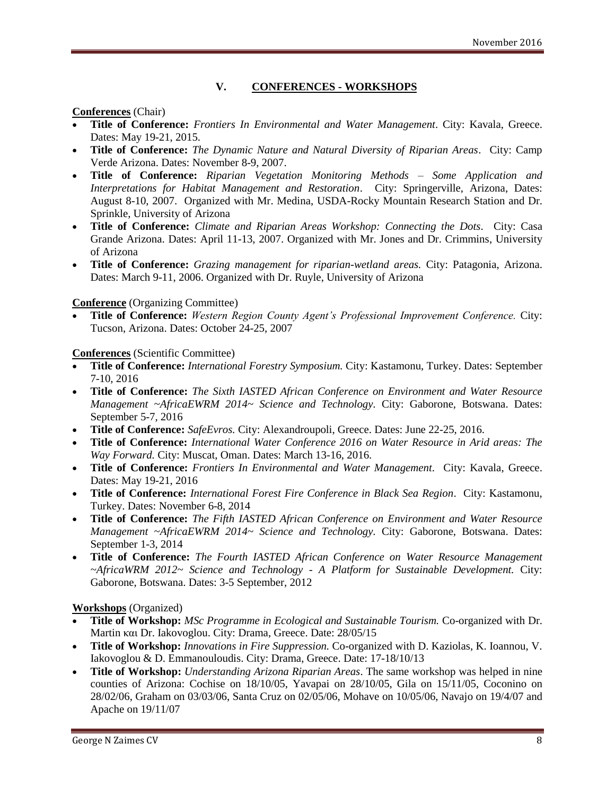# **V. CONFERENCES - WORKSHOPS**

### **Conferences** (Chair)

- **Title of Conference:** *Frontiers In Environmental and Water Management*. City: Kavala, Greece. Dates: May 19-21, 2015.
- **Title of Conference:** *The Dynamic Nature and Natural Diversity of Riparian Areas*. City: Camp Verde Arizona. Dates: November 8-9, 2007.
- **Title of Conference:** *Riparian Vegetation Monitoring Methods – Some Application and Interpretations for Habitat Management and Restoration*. City: Springerville, Arizona, Dates: August 8-10, 2007. Organized with Mr. Medina, USDA-Rocky Mountain Research Station and Dr. Sprinkle, University of Arizona
- **Title of Conference:** *Climate and Riparian Areas Workshop: Connecting the Dots*. City: Casa Grande Arizona. Dates: April 11-13, 2007. Organized with Mr. Jones and Dr. Crimmins, University of Arizona
- **Title of Conference:** *Grazing management for riparian-wetland areas.* City: Patagonia, Arizona. Dates: March 9-11, 2006. Organized with Dr. Ruyle, University of Arizona

### **Conference** (Organizing Committee)

 **Title of Conference:** *Western Region County Agent's Professional Improvement Conference.* City: Tucson, Arizona. Dates: October 24-25, 2007

# **Conferences** (Scientific Committee)

- **Title of Conference:** *International Forestry Symposium.* City: Κastamonu, Turkey. Dates: September 7-10, 2016
- **Title of Conference:** *The Sixth IASTED African Conference on Environment and Water Resource Management ~AfricaEWRM 2014~ Science and Technology.* City: Gaborone, Botswana. Dates: September 5-7, 2016
- **Title of Conference:** *SafeEvros.* City: Alexandroupoli, Greece. Dates: June 22-25, 2016.
- **Title of Conference:** *International Water Conference 2016 on Water Resource in Arid areas: The Way Forward.* City: Muscat, Oman. Dates: March 13-16, 2016.
- **Title of Conference:** *Frontiers In Environmental and Water Management*. City: Kavala, Greece. Dates: May 19-21, 2016
- **Title of Conference:** *International Forest Fire Conference in Black Sea Region*. City: Κastamonu, Turkey. Dates: November 6-8, 2014
- **Title of Conference:** *The Fifth IASTED African Conference on Environment and Water Resource Management ~AfricaEWRM 2014~ Science and Technology.* City: Gaborone, Botswana. Dates: September 1-3, 2014
- **Title of Conference:** *The Fourth IASTED African Conference on Water Resource Management ~AfricaWRM 2012~ Science and Technology - A Platform for Sustainable Development.* City: Gaborone, Botswana. Dates: 3-5 September, 2012

### **Workshops** (Organized)

- **Title of Workshop:** *MSc Programme in Ecological and Sustainable Tourism.* Co-organized with Dr. Martin και Dr. Iakovoglou. City: Drama, Greece. Date: 28/05/15
- **Title of Workshop:** *Innovations in Fire Suppression.* Co-organized with D. Kaziolas, K. Ioannou, V. Iakovoglou & D. Emmanouloudis. City: Drama, Greece. Date: 17-18/10/13
- **Title of Workshop:** *Understanding Arizona Riparian Areas*. The same workshop was helped in nine counties of Arizona: Cochise on 18/10/05, Yavapai on 28/10/05, Gila on 15/11/05, Coconino on 28/02/06, Graham on 03/03/06, Santa Cruz on 02/05/06, Mohave on 10/05/06, Navajo on 19/4/07 and Apache on 19/11/07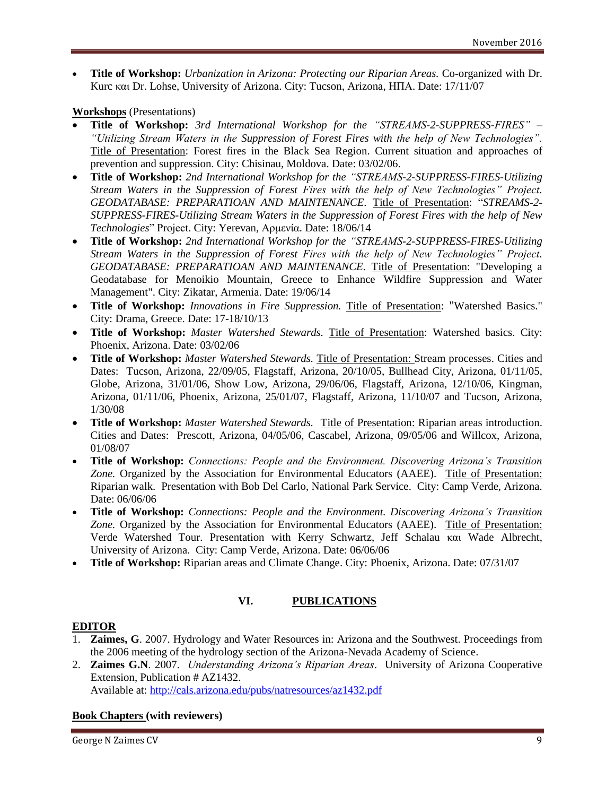**Title of Workshop:** *Urbanization in Arizona: Protecting our Riparian Areas.* Co-organized with Dr. Kurc και Dr. Lohse, University of Arizona. City: Tucson, Arizona, ΗΠΑ. Date: 17/11/07

### **Workshops** (Presentations)

- **Title of Workshop:** *3rd International Workshop for the "STREAMS-2-SUPPRESS-FIRES" – "Utilizing Stream Waters in the Suppression of Forest Fires with the help of New Technologies".*  Title of Presentation: Forest fires in the Black Sea Region. Current situation and approaches of prevention and suppression. City: Chisinau, Moldova. Date: 03/02/06.
- **Title of Workshop:** *2nd International Workshop for the "STREAMS-2-SUPPRESS-FIRES-Utilizing Stream Waters in the Suppression of Forest Fires with the help of New Technologies" Project. GEODATABASE: PREPARATIOAN AND MAINTENANCE.* Title of Presentation: "*STREAMS-2- SUPPRESS-FIRES-Utilizing Stream Waters in the Suppression of Forest Fires with the help of New Technologies*" Project. City: Yerevan, Αρμενία. Date: 18/06/14
- **Title of Workshop:** *2nd International Workshop for the "STREAMS-2-SUPPRESS-FIRES-Utilizing Stream Waters in the Suppression of Forest Fires with the help of New Technologies" Project. GEODATABASE: PREPARATIOAN AND MAINTENANCE.* Title of Presentation: "Developing a Geodatabase for Menoikio Mountain, Greece to Εnhance Wildfire Suppression and Water Management". City: Zikatar, Armenia. Date: 19/06/14
- **Title of Workshop:** *Innovations in Fire Suppression.* Title of Presentation: "Watershed Basics." City: Drama, Greece. Date: 17-18/10/13
- **Title of Workshop:** *Master Watershed Stewards.* Title of Presentation: Watershed basics. City: Phoenix, Arizona. Date: 03/02/06
- **Title of Workshop:** *Master Watershed Stewards.* Title of Presentation: Stream processes. Cities and Dates: Tucson, Arizona, 22/09/05, Flagstaff, Arizona, 20/10/05, Bullhead City, Arizona, 01/11/05, Globe, Arizona, 31/01/06, Show Low, Arizona, 29/06/06, Flagstaff, Arizona, 12/10/06, Kingman, Arizona, 01/11/06, Phoenix, Arizona, 25/01/07, Flagstaff, Arizona, 11/10/07 and Tucson, Arizona, 1/30/08
- **Title of Workshop:** *Master Watershed Stewards.* Title of Presentation: Riparian areas introduction. Cities and Dates: Prescott, Arizona, 04/05/06, Cascabel, Arizona, 09/05/06 and Willcox, Arizona, 01/08/07
- **Title of Workshop:** *Connections: People and the Environment. Discovering Arizona's Transition*  Zone. Organized by the Association for Environmental Educators (AAEE). Title of Presentation: Riparian walk. Presentation with Bob Del Carlo, National Park Service. City: Camp Verde, Arizona. Date: 06/06/06
- **Title of Workshop:** *Connections: People and the Environment. Discovering Arizona's Transition*  Zone. Organized by the Association for Environmental Educators (AAEE). Title of Presentation: Verde Watershed Tour. Presentation with Kerry Schwartz, Jeff Schalau και Wade Albrecht, University of Arizona. City: Camp Verde, Arizona. Date: 06/06/06
- Title of Workshop: Riparian areas and Climate Change. City: Phoenix, Arizona. Date: 07/31/07

# **VI. PUBLICATIONS**

### **EDITOR**

- 1. **Zaimes, G**. 2007. Hydrology and Water Resources in: Arizona and the Southwest. Proceedings from the 2006 meeting of the hydrology section of the Arizona-Nevada Academy of Science.
- 2. **Zaimes G.N**. 2007. *Understanding Arizona's Riparian Areas*. University of Arizona Cooperative Extension, Publication # AZ1432.

Available at:<http://cals.arizona.edu/pubs/natresources/az1432.pdf>

# **Book Chapters (with reviewers)**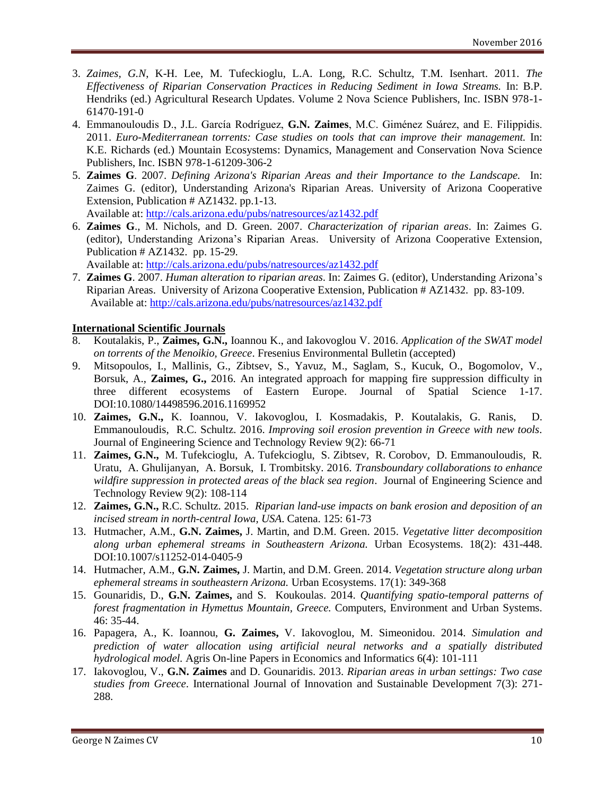- 3. *Zaimes, G.N*, K-H. Lee, M. Tufeckioglu, L.A. Long, R.C. Schultz, T.M. Isenhart. 2011. *The Effectiveness of Riparian Conservation Practices in Reducing Sediment in Iowa Streams.* In: B.P. Hendriks (ed.) Agricultural Research Updates. Volume 2 Nova Science Publishers, Inc. ISBN 978-1- 61470-191-0
- 4. Emmanouloudis D., J.L. García Rodríguez, **G.N. Zaimes**, M.C. Giménez Suárez, and E. Filippidis. 2011. *Euro-Mediterranean torrents: Case studies on tools that can improve their management.* In: K.E. Richards (ed.) Mountain Ecosystems: Dynamics, Management and Conservation Nova Science Publishers, Inc. ISBN 978-1-61209-306-2
- 5. **Zaimes G**. 2007. *Defining Arizona's Riparian Areas and their Importance to the Landscape.* In: Zaimes G. (editor), Understanding Arizona's Riparian Areas. University of Arizona Cooperative Extension, Publication # AZ1432. pp.1-13.

Available at:<http://cals.arizona.edu/pubs/natresources/az1432.pdf>

6. **Zaimes G**., M. Nichols, and D. Green. 2007. *Characterization of riparian areas*. In: Zaimes G. (editor), Understanding Arizona's Riparian Areas. University of Arizona Cooperative Extension, Publication # AZ1432. pp. 15-29.

Available at:<http://cals.arizona.edu/pubs/natresources/az1432.pdf>

7. **Zaimes G**. 2007. *Human alteration to riparian areas*. In: Zaimes G. (editor), Understanding Arizona's Riparian Areas. University of Arizona Cooperative Extension, Publication # AZ1432. pp. 83-109. Available at:<http://cals.arizona.edu/pubs/natresources/az1432.pdf>

#### **International Scientific Journals**

- 8. Koutalakis, P., **Zaimes, G.N.,** Ioannou K., and Iakovoglou V. 2016. *Application of the SWAT model on torrents of the Menoikio, Greece*. Fresenius Environmental Bulletin (accepted)
- 9. Mitsopoulos, I., Mallinis, G., Zibtsev, S., Yavuz, M., Saglam, S., Kucuk, O., Bogomolov, V., Borsuk, A., **Zaimes, G.,** 2016. An integrated approach for mapping fire suppression difficulty in three different ecosystems of Eastern Europe. Journal of Spatial Science 1-17. DOI:10.1080/14498596.2016.1169952
- 10. **Zaimes, G.N.,** K. Ioannou, V. Iakovoglou, I. Kosmadakis, P. Koutalakis, G. Ranis, D. Emmanouloudis, R.C. Schultz. 2016. *Improving soil erosion prevention in Greece with new tools.*  Journal of Engineering Science and Technology Review 9(2): 66-71
- 11. **Zaimes, G.N.,** M. Tufekcioglu, A. Tufekcioglu, S. Zibtsev, R. Corobov, D. Emmanouloudis, R. Uratu, A. Ghulijanyan, A. Borsuk, I. Trombitsky. 2016. *Transboundary collaborations to enhance wildfire suppression in protected areas of the black sea region*. Journal of Engineering Science and Technology Review 9(2): 108-114
- 12. **Zaimes, G.N.,** R.C. Schultz. 2015. *Riparian land-use impacts on bank erosion and deposition of an incised stream in north-central Iowa, USA*. Catena. 125: 61-73
- 13. Hutmacher, A.M., **G.N. Zaimes,** J. Martin, and D.M. Green. 2015. *Vegetative litter decomposition along urban ephemeral streams in Southeastern Arizona.* Urban Ecosystems. 18(2): 431-448. DOI:10.1007/s11252-014-0405-9
- 14. Hutmacher, A.M., **G.N. Zaimes,** J. Martin, and D.M. Green. 2014. *Vegetation structure along urban ephemeral streams in southeastern Arizona.* Urban Ecosystems. 17(1): 349-368
- 15. Gounaridis, D., **G.N. Zaimes,** and S. Koukoulas. 2014. *Quantifying spatio-temporal patterns of forest fragmentation in Hymettus Mountain, Greece.* Computers, Environment and Urban Systems. 46: 35-44.
- 16. Papagera, A., K. Ioannou, **G. Zaimes,** V. Iakovoglou, M. Simeonidou. 2014. *Simulation and prediction of water allocation using artificial neural networks and a spatially distributed hydrological model.* Agris On-line Papers in Economics and Informatics 6(4): 101-111
- 17. Iakovoglou, V., **G.N. Zaimes** and D. Gounaridis. 2013. *Riparian areas in urban settings: Two case studies from Greece*. International Journal of Innovation and Sustainable Development 7(3): 271- 288.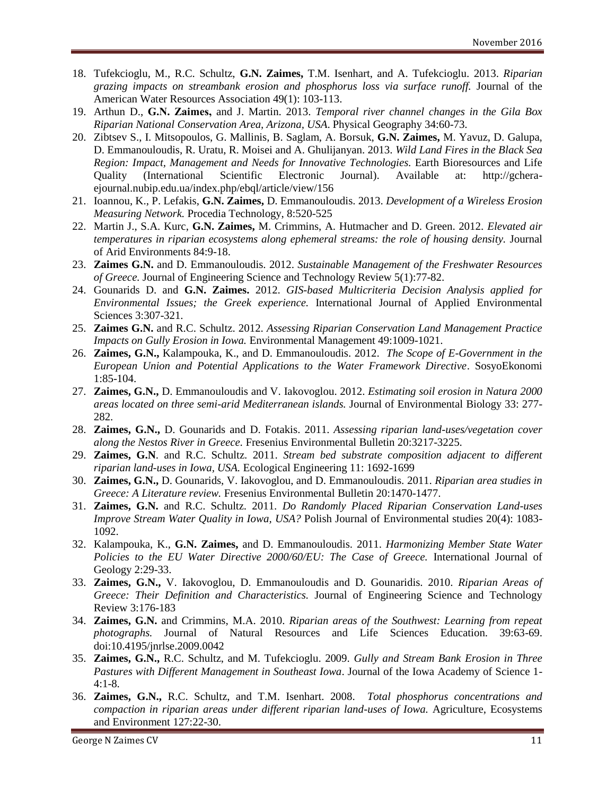- 18. Tufekcioglu, M., R.C. Schultz, **G.N. Zaimes,** T.M. Isenhart, and A. Tufekcioglu. 2013. *Riparian grazing impacts on streambank erosion and phosphorus loss via surface runoff.* Journal of the American Water Resources Association 49(1): 103-113.
- 19. Arthun D., **G.Ν. Zaimes,** and J. Martin. 2013. *Temporal river channel changes in the Gila Box Riparian National Conservation Area, Arizona, USA*. Physical Geography 34:60-73.
- 20. Zibtsev S., I. Mitsopoulos, G. Mallinis, B. Saglam, A. Borsuk, **G.N. Zaimes,** M. Yavuz, D. Galupa, D. Emmanouloudis, R. Uratu, R. Moisei and A. Ghulijanyan. 2013. *Wild Land Fires in the Black Sea Region: Impact, Management and Needs for Innovative Technologies.* Earth Bioresources and Life Quality (International Scientific Electronic Journal). Available at: http://gcheraejournal.nubip.edu.ua/index.php/ebql/article/view/156
- 21. Ioannou, K., P. Lefakis, **G.N. Zaimes,** D. Emmanouloudis. 2013. *Development of a Wireless Erosion Measuring Network.* Procedia Technology, 8:520-525
- 22. Martin J., S.A. Kurc, **G.N. Zaimes,** M. Crimmins, A. Hutmacher and D. Green. 2012. *Elevated air temperatures in riparian ecosystems along ephemeral streams: the role of housing density.* Journal of Arid Environments 84:9-18.
- 23. **Zaimes G.N.** and D. Emmanouloudis. 2012. *Sustainable Management of the Freshwater Resources of Greece.* Journal of Engineering Science and Technology Review 5(1):77-82.
- 24. Gounarids D. and **G.N. Zaimes.** 2012. *GIS-based Multicriteria Decision Analysis applied for Environmental Issues; the Greek experience.* International Journal of Applied Environmental Sciences 3:307-321.
- 25. **Zaimes G.N.** and R.C. Schultz. 2012. *Assessing Riparian Conservation Land Management Practice Impacts on Gully Erosion in Iowa.* Environmental Management 49:1009-1021.
- 26. **Zaimes, G.N.,** Kalampouka, K., and D. Emmanouloudis. 2012. *The Scope of E-Government in the European Union and Potential Applications to the Water Framework Directive*. SosyoEkonomi 1:85-104.
- 27. **Zaimes, G.N.,** D. Emmanouloudis and V. Iakovoglou. 2012. *Estimating soil erosion in Natura 2000 areas located on three semi-arid Mediterranean islands.* Journal of Environmental Biology 33: 277- 282.
- 28. **Zaimes, G.N.,** D. Gounarids and D. Fotakis. 2011. *Assessing riparian land-uses/vegetation cover along the Nestos River in Greece.* Fresenius Environmental Bulletin 20:3217-3225.
- 29. **Zaimes, G.N**. and R.C. Schultz. 2011. *Stream bed substrate composition adjacent to different riparian land-uses in Iowa, USA.* Ecological Engineering 11: 1692-1699
- 30. **Zaimes, G.N.,** D. Gounarids, V. Iakovoglou, and D. Emmanouloudis. 2011. *Riparian area studies in Greece: A Literature review.* Fresenius Environmental Bulletin 20:1470-1477.
- 31. **Zaimes, G.N.** and R.C. Schultz. 2011. *Do Randomly Placed Riparian Conservation Land-uses Improve Stream Water Quality in Iowa, USA?* Polish Journal of Environmental studies 20(4): 1083- 1092.
- 32. Kalampouka, K., **G.N. Zaimes,** and D. Emmanouloudis. 2011. *Harmonizing Member State Water Policies to the EU Water Directive 2000/60/EU: The Case of Greece.* International Journal of Geology 2:29-33.
- 33. **Zaimes, G.N.,** V. Iakovoglou, D. Emmanouloudis and D. Gounaridis. 2010. *Riparian Areas of Greece: Their Definition and Characteristics.* Journal of Engineering Science and Technology Review 3:176-183
- 34. **Zaimes, G.N.** and Crimmins, M.A. 2010. *Riparian areas of the Southwest: Learning from repeat photographs.* Journal of Natural Resources and Life Sciences Education. 39:63-69. doi:10.4195/jnrlse.2009.0042
- 35. **Zaimes, G.N.,** R.C. Schultz, and M. Tufekcioglu. 2009. *Gully and Stream Bank Erosion in Three Pastures with Different Management in Southeast Iowa*. Journal of the Iowa Academy of Science 1- 4:1-8.
- 36. **Zaimes, G.N.,** R.C. Schultz, and T.M. Isenhart. 2008. *Total phosphorus concentrations and compaction in riparian areas under different riparian land-uses of Iowa.* Agriculture, Ecosystems and Environment 127:22-30.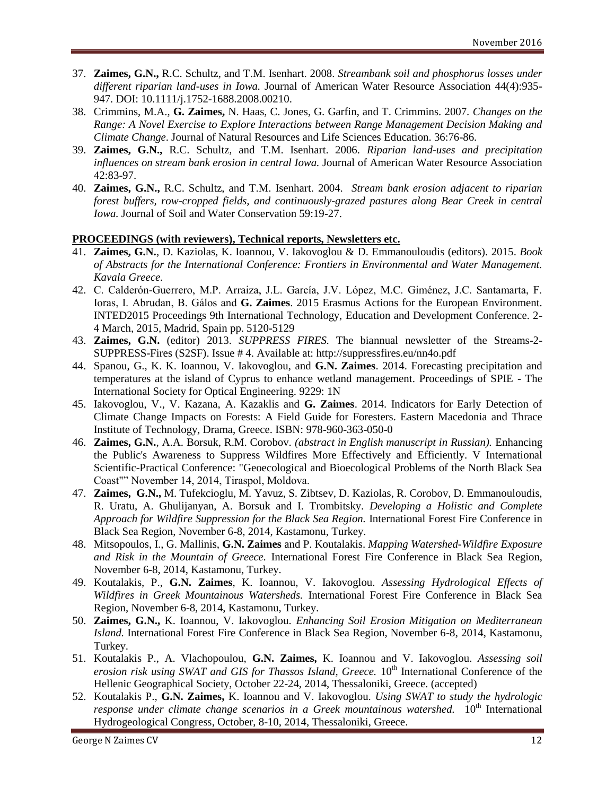- 37. **Zaimes, G.N.,** R.C. Schultz, and T.M. Isenhart. 2008. *Streambank soil and phosphorus losses under different riparian land-uses in Iowa.* Journal of American Water Resource Association 44(4):935- 947. DOI: 10.1111/j.1752-1688.2008.00210.
- 38. Crimmins, M.A., **G. Zaimes,** N. Haas, C. Jones, G. Garfin, and T. Crimmins. 2007. *Changes on the Range: A Novel Exercise to Explore Interactions between Range Management Decision Making and Climate Change*. Journal of Natural Resources and Life Sciences Education. 36:76-86.
- 39. **Zaimes, G.N.,** R.C. Schultz, and T.M. Isenhart. 2006. *Riparian land-uses and precipitation influences on stream bank erosion in central Iowa.* Journal of American Water Resource Association 42:83-97.
- 40. **Zaimes, G.N.,** R.C. Schultz, and T.M. Isenhart. 2004. *Stream bank erosion adjacent to riparian forest buffers, row-cropped fields, and continuously-grazed pastures along Bear Creek in central Iowa.* Journal of Soil and Water Conservation 59:19-27.

#### **PROCEEDINGS (with reviewers), Technical reports, Newsletters etc.**

- 41. **Zaimes, G.N.**, D. Kaziolas, K. Ioannou, V. Iakovoglou & D. Emmanouloudis (editors). 2015. *Book of Abstracts for the International Conference: Frontiers in Environmental and Water Management. Kavala Greece.*
- 42. C. Calderón-Guerrero, M.P. Arraiza, J.L. García, J.V. López, M.C. Giménez, J.C. Santamarta, F. Ioras, I. Abrudan, B. Gálos and **G. Zaimes**. 2015 Erasmus Actions for the European Environment. INTED2015 Proceedings 9th International Technology, Education and Development Conference. 2- 4 March, 2015, Madrid, Spain pp. 5120-5129
- 43. **Zaimes, G.N.** (editor) 2013. *SUPPRESS FIRES.* The biannual newsletter of the Streams-2- SUPPRESS-Fires (S2SF). Issue # 4. Available at: http://suppressfires.eu/nn4o.pdf
- 44. Spanou, G., K. K. Ioannou, V. Iakovoglou, and **G.N. Zaimes**. 2014. Forecasting precipitation and temperatures at the island of Cyprus to enhance wetland management. Proceedings of SPIE - The International Society for Optical Engineering. 9229: 1N
- 45. Iakovoglou, V., V. Kazana, A. Kazaklis and **G. Zaimes**. 2014. Indicators for Early Detection of Climate Change Impacts on Forests: A Field Guide for Foresters. Eastern Macedonia and Thrace Institute of Technology, Drama, Greece. ISBN: 978-960-363-050-0
- 46. **Zaimes, G.N.**, A.A. Borsuk, R.M. Corobov. *(abstract in English manuscript in Russian).* Enhancing the Public's Awareness to Suppress Wildfires More Effectively and Efficiently. V International Scientific-Practical Conference: "Geoecological and Bioecological Problems of the North Black Sea Coast"" November 14, 2014, Tiraspol, Moldova.
- 47. **Zaimes, G.N.,** M. Tufekcioglu, M. Yavuz, S. Zibtsev, D. Kaziolas, R. Corobov, D. Emmanouloudis, R. Uratu, A. Ghulijanyan, A. Borsuk and I. Trombitsky. *Developing a Holistic and Complete Approach for Wildfire Suppression for the Black Sea Region.* International Forest Fire Conference in Black Sea Region, November 6-8, 2014, Kastamonu, Turkey.
- 48. Mitsopoulos, I., G. Mallinis, **G.N. Zaimes** and P. Koutalakis. *Mapping Watershed-Wildfire Exposure and Risk in the Mountain of Greece.* International Forest Fire Conference in Black Sea Region, November 6-8, 2014, Kastamonu, Turkey.
- 49. Koutalakis, P., **G.N. Zaimes**, K. Ioannou, V. Iakovoglou. *Assessing Hydrological Effects of Wildfires in Greek Mountainous Watersheds.* International Forest Fire Conference in Black Sea Region, November 6-8, 2014, Kastamonu, Turkey.
- 50. **Zaimes, G.N.,** K. Ioannou, V. Iakovoglou. *Enhancing Soil Erosion Mitigation on Mediterranean Island.* International Forest Fire Conference in Black Sea Region, November 6-8, 2014, Kastamonu, Turkey.
- 51. Koutalakis P., A. Vlachopoulou, **G.N. Zaimes,** K. Ioannou and V. Iakovoglou. *Assessing soil erosion risk using SWAT and GIS for Thassos Island, Greece.* 10<sup>th</sup> International Conference of the Hellenic Geographical Society, October 22-24, 2014, Thessaloniki, Greece. (accepted)
- 52. Koutalakis P., **G.N. Zaimes,** K. Ioannou and V. Iakovoglou. *Using SWAT to study the hydrologic response under climate change scenarios in a Greek mountainous watershed.* 10<sup>th</sup> International Hydrogeological Congress, October, 8-10, 2014, Thessaloniki, Greece.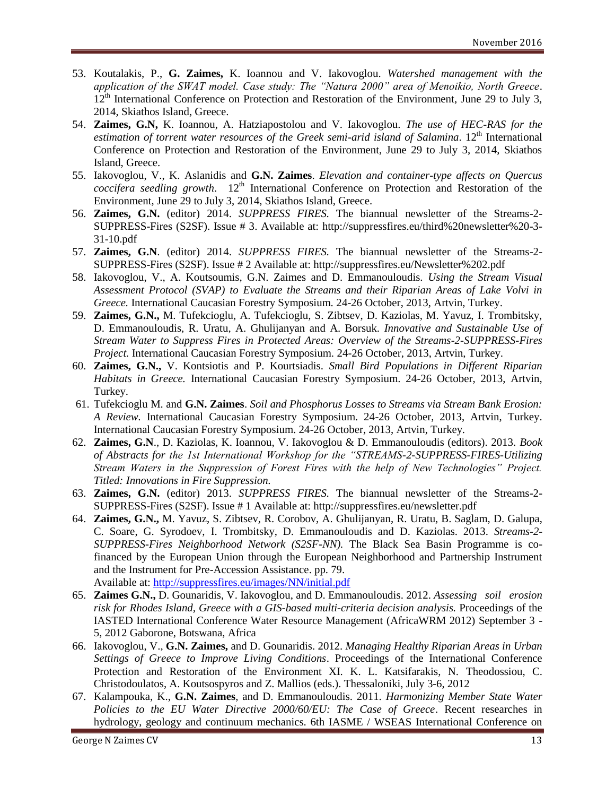- 53. Koutalakis, P., **G. Zaimes,** K. Ioannou and V. Iakovoglou. *Watershed management with the application of the SWAT model. Case study: The "Natura 2000" area of Menoikio, North Greece*. 12<sup>th</sup> International Conference on Protection and Restoration of the Environment, June 29 to July 3, 2014, Skiathos Island, Greece.
- 54. **Zaimes, G.N,** K. Ioannou, A. Hatziapostolou and V. Iakovoglou. *The use of HEC-RAS for the*  estimation of torrent water resources of the Greek semi-arid island of Salamina. 12<sup>th</sup> International Conference on Protection and Restoration of the Environment, June 29 to July 3, 2014, Skiathos Island, Greece.
- 55. Iakovoglou, V., K. Aslanidis and **G.N. Zaimes**. *Elevation and container-type affects on Quercus coccifera seedling growth.* 12<sup>th</sup> International Conference on Protection and Restoration of the Environment, June 29 to July 3, 2014, Skiathos Island, Greece.
- 56. **Zaimes, G.N.** (editor) 2014. *SUPPRESS FIRES.* The biannual newsletter of the Streams-2- SUPPRESS-Fires (S2SF). Issue # 3. Available at: http://suppressfires.eu/third%20newsletter%20-3- 31-10.pdf
- 57. **Zaimes, G.N**. (editor) 2014. *SUPPRESS FIRES.* The biannual newsletter of the Streams-2- SUPPRESS-Fires (S2SF). Issue # 2 Available at: http://suppressfires.eu/Newsletter%202.pdf
- 58. Iakovoglou, V., A. Koutsoumis, G.N. Zaimes and D. Emmanouloudis. *Using the Stream Visual Assessment Protocol (SVAP) to Evaluate the Streams and their Riparian Areas of Lake Volvi in Greece.* International Caucasian Forestry Symposium. 24-26 October, 2013, Artvin, Turkey.
- 59. **Zaimes, G.N.,** M. Tufekcioglu, A. Tufekcioglu, S. Zibtsev, D. Kaziolas, M. Yavuz, I. Trombitsky, D. Emmanouloudis, R. Uratu, A. Ghulijanyan and A. Borsuk. *Innovative and Sustainable Use of Stream Water to Suppress Fires in Protected Areas: Overview of the Streams-2-SUPPRESS-Fires Project.* International Caucasian Forestry Symposium. 24-26 October, 2013, Artvin, Turkey.
- 60. **Zaimes, G.N.,** V. Kontsiotis and P. Kourtsiadis. *Small Bird Populations in Different Riparian Habitats in Greece.* International Caucasian Forestry Symposium. 24-26 October, 2013, Artvin, Turkey.
- 61. Tufekcioglu M. and **G.N. Zaimes**. *Soil and Phosphorus Losses to Streams via Stream Bank Erosion: A Review.* International Caucasian Forestry Symposium. 24-26 October, 2013, Artvin, Turkey. International Caucasian Forestry Symposium. 24-26 October, 2013, Artvin, Turkey.
- 62. **Zaimes, G.N**., D. Kaziolas, K. Ioannou, V. Iakovoglou & D. Emmanouloudis (editors). 2013. *Book of Abstracts for the 1st International Workshop for the "STREAMS-2-SUPPRESS-FIRES-Utilizing Stream Waters in the Suppression of Forest Fires with the help of New Technologies" Project. Titled: Innovations in Fire Suppression.*
- 63. **Zaimes, G.N.** (editor) 2013. *SUPPRESS FIRES.* The biannual newsletter of the Streams-2- SUPPRESS-Fires (S2SF). Issue # 1 Available at: http://suppressfires.eu/newsletter.pdf
- 64. **Zaimes, G.N.,** M. Yavuz, S. Zibtsev, R. Corobov, A. Ghulijanyan, R. Uratu, B. Saglam, D. Galupa, C. Soare, G. Syrodoev, I. Trombitsky, D. Emmanouloudis and D. Kaziolas. 2013. *Streams-2- SUPPRESS-Fires Neighborhood Network (S2SF-NN).* The Black Sea Basin Programme is cofinanced by the European Union through the European Neighborhood and Partnership Instrument and the Instrument for Pre-Accession Assistance. pp. 79. Available at: [http://suppressfires.eu/images/NN/initial.pdf](http://cals.arizona.edu/pubs/natresources/az1378g.pdf)
- 65. **Zaimes G.N.,** D. Gounaridis, V. Iakovoglou, and D. Emmanouloudis. 2012. *Assessing soil erosion risk for Rhodes Island, Greece with a GIS-based multi-criteria decision analysis.* Proceedings of the IASTED International Conference Water Resource Management (AfricaWRM 2012) September 3 - 5, 2012 Gaborone, Botswana, Africa
- 66. Iakovoglou, V., **G.N. Zaimes,** and D. Gounaridis. 2012. *Managing Healthy Riparian Areas in Urban Settings of Greece to Improve Living Conditions*. Proceedings of the International Conference Protection and Restoration of the Environment XI. K. L. Katsifarakis, N. Theodossiou, C. Christodoulatos, A. Koutsospyros and Z. Mallios (eds.). Thessaloniki, July 3-6, 2012
- 67. Kalampouka, K., **G.N. Zaimes**, and D. Emmanouloudis. 2011. *Harmonizing Member State Water Policies to the EU Water Directive 2000/60/EU: The Case of Greece*. Recent researches in hydrology, geology and continuum mechanics. 6th IASME / WSEAS International Conference on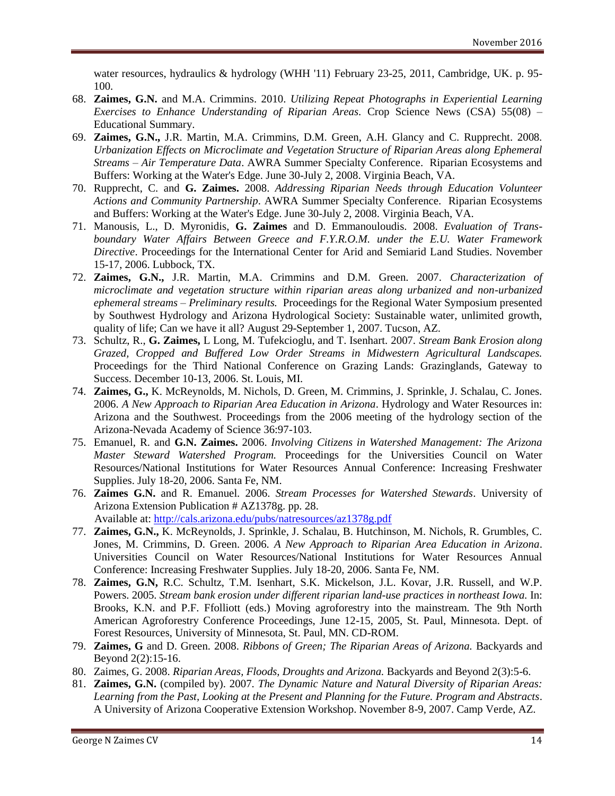water resources, hydraulics & hydrology (WHH '11) February 23-25, 2011, Cambridge, UK. p. 95- 100.

- 68. **Zaimes, G.N.** and M.A. Crimmins. 2010. *Utilizing Repeat Photographs in Experiential Learning Exercises to Enhance Understanding of Riparian Areas.* Crop Science News (CSA) 55(08) – Educational Summary.
- 69. **Zaimes, G.N.,** J.R. Martin, M.A. Crimmins, D.M. Green, A.H. Glancy and C. Rupprecht. 2008. *Urbanization Effects on Microclimate and Vegetation Structure of Riparian Areas along Ephemeral Streams – Air Temperature Data*. AWRA Summer Specialty Conference. Riparian Ecosystems and Buffers: Working at the Water's Edge. June 30-July 2, 2008. Virginia Beach, VA.
- 70. Rupprecht, C. and **G. Zaimes.** 2008. *Addressing Riparian Needs through Education Volunteer Actions and Community Partnership*. AWRA Summer Specialty Conference. Riparian Ecosystems and Buffers: Working at the Water's Edge. June 30-July 2, 2008. Virginia Beach, VA.
- 71. Manousis, L., D. Myronidis, **G. Zaimes** and D. Emmanouloudis. 2008. *Evaluation of Transboundary Water Affairs Between Greece and F.Y.R.O.M. under the E.U. Water Framework Directive*. Proceedings for the International Center for Arid and Semiarid Land Studies. November 15-17, 2006. Lubbock, TX.
- 72. **Zaimes, G.N.,** J.R. Martin, M.A. Crimmins and D.M. Green. 2007. *Characterization of microclimate and vegetation structure within riparian areas along urbanized and non-urbanized ephemeral streams – Preliminary results.* Proceedings for the Regional Water Symposium presented by Southwest Hydrology and Arizona Hydrological Society: Sustainable water, unlimited growth, quality of life; Can we have it all? August 29-September 1, 2007. Tucson, AZ.
- 73. Schultz, R., **G. Zaimes,** L Long, M. Tufekcioglu, and T. Isenhart. 2007. *Stream Bank Erosion along Grazed, Cropped and Buffered Low Order Streams in Midwestern Agricultural Landscapes.*  Proceedings for the Third National Conference on Grazing Lands: Grazinglands, Gateway to Success. December 10-13, 2006. St. Louis, MI.
- 74. **Zaimes, G.,** K. McReynolds, M. Nichols, D. Green, M. Crimmins, J. Sprinkle, J. Schalau, C. Jones. 2006. *A New Approach to Riparian Area Education in Arizona*. Hydrology and Water Resources in: Arizona and the Southwest. Proceedings from the 2006 meeting of the hydrology section of the Arizona-Nevada Academy of Science 36:97-103.
- 75. Emanuel, R. and **G.N. Zaimes.** 2006. *Involving Citizens in Watershed Management: The Arizona Master Steward Watershed Program.* Proceedings for the Universities Council on Water Resources/National Institutions for Water Resources Annual Conference: Increasing Freshwater Supplies. July 18-20, 2006. Santa Fe, NM.
- 76. **Zaimes G.N.** and R. Emanuel. 2006. *Stream Processes for Watershed Stewards*. University of Arizona Extension Publication # AZ1378g. pp. 28. Available at:<http://cals.arizona.edu/pubs/natresources/az1378g.pdf>
- 77. **Zaimes, G.N.,** K. McReynolds, J. Sprinkle, J. Schalau, B. Hutchinson, M. Nichols, R. Grumbles, C. Jones, M. Crimmins, D. Green. 2006. *A New Approach to Riparian Area Education in Arizona*. Universities Council on Water Resources/National Institutions for Water Resources Annual Conference: Increasing Freshwater Supplies. July 18-20, 2006. Santa Fe, NM.
- 78. **Zaimes, G.N,** R.C. Schultz, T.M. Isenhart, S.K. Mickelson, J.L. Kovar, J.R. Russell, and W.P. Powers. 2005. *Stream bank erosion under different riparian land-use practices in northeast Iowa.* In: Brooks, K.N. and P.F. Ffolliott (eds.) Moving agroforestry into the mainstream. The 9th North American Agroforestry Conference Proceedings, June 12-15, 2005, St. Paul, Minnesota. Dept. of Forest Resources, University of Minnesota, St. Paul, MN. CD-ROM.
- 79. **Zaimes, G** and D. Green. 2008. *Ribbons of Green; The Riparian Areas of Arizona.* Backyards and Beyond 2(2):15-16.
- 80. Zaimes, G. 2008. *Riparian Areas, Floods, Droughts and Arizona.* Backyards and Beyond 2(3):5-6.
- 81. **Zaimes, G.N.** (compiled by). 2007. *The Dynamic Nature and Natural Diversity of Riparian Areas: Learning from the Past, Looking at the Present and Planning for the Future. Program and Abstracts*. A University of Arizona Cooperative Extension Workshop. November 8-9, 2007. Camp Verde, AZ.